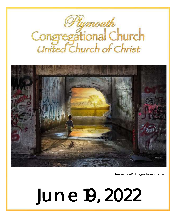



Image by AD\_Images from Pixabay

# June 19, 2022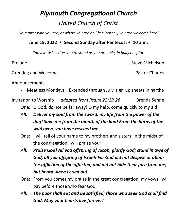## *Plymouth Congregational Church United Church of Christ*

*No matter who you are, or where you are on life's journey, you are welcome here!*

### **June 19, 2022 • Second Sunday after Pentecost • 10 a.m.**

*\*An asterisk invites you to stand as you are able, in body or spirit.*

Prelude Steve Michelson **Steve Michelson** 

Greeting and Welcome **Pastor Charles Pastor Charles** 

Announcements

Meatless Mondays—Extended through July, sign-up sheets in narthe

Invitation to Worship *adapted from Psalm 22:19-28* Brenda Senne One: O God, do not be far away! O my help, come quickly to my aid!

- *All: Deliver my soul from the sword, my life from the power of the dog! Save me from the mouth of the lion! From the horns of the wild oxen, you have rescued me.*
- One: I will tell of your name to my brothers and sisters; in the midst of the congregation I will praise you:
- *All: Praise God! All you offspring of Jacob, glorify God; stand in awe of God, all you offspring of Israel! For God did not despise or abhor the affliction of the afflicted; and did not hide their face from me, but heard when I cried out.*
- One: From you comes my praise in the great congregation; my vows I will pay before those who fear God.
- *All: The poor shall eat and be satisfied; those who seek God shall find God. May your hearts live forever!*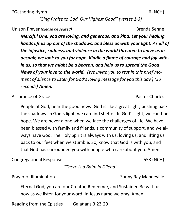### \*Gathering Hymn 6 (NCH)

*"Sing Praise to God, Our Highest Good" (verses 1-3)*

Unison Prayer *(please be seated)* Brenda Senne

*Merciful One, you are loving, and generous, and kind. Let your healing hands lift us up out of the shadows, and bless us with your light. As all of the injustice, sadness, and violence in the world threaten to leave us in despair, we look to you for hope. Kindle a flame of courage and joy within us, so that we might be a beacon, and help us to spread the Good News of your love to the world. [We invite you to rest in this brief moment of silence to listen for God's loving message for you this day.] (30 seconds) Amen.*

Assurance of Grace **Pastor Charles** Assurance of Grace

People of God, hear the good news! God is like a great light, pushing back the shadows. In God's light, we can find shelter. In God's light, we can find hope. We are never alone when we face the challenges of life. We have been blessed with family and friends, a community of support, and we always have God. The Holy Spirit is always with us, loving us, and lifting us back to our feet when we stumble. So, know that God is with you, and that God has surrounded you with people who care about you. Amen.

Congregational Response 553 (NCH)

*"There is a Balm in Gilead"*

Prayer of Illumination **Sunny Ray Mandeville** Sunny Ray Mandeville

Eternal God, you are our Creator, Redeemer, and Sustainer. Be with us now as we listen for your word. In Jesus name we pray. Amen.

Reading from the Epistles Galatians 3:23-29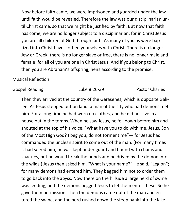Now before faith came, we were imprisoned and guarded under the law until faith would be revealed. Therefore the law was our disciplinarian until Christ came, so that we might be justified by faith. But now that faith has come, we are no longer subject to a disciplinarian, for in Christ Jesus you are all children of God through faith. As many of you as were baptized into Christ have clothed yourselves with Christ. There is no longer Jew or Greek, there is no longer slave or free, there is no longer male and female; for all of you are one in Christ Jesus. And if you belong to Christ, then you are Abraham's offspring, heirs according to the promise.

### Musical Reflection

### Gospel Reading The Luke 8:26-39 Pastor Charles

Then they arrived at the country of the Gerasenes, which is opposite Galilee. As Jesus stepped out on land, a man of the city who had demons met him. For a long time he had worn no clothes, and he did not live in a house but in the tombs. When he saw Jesus, he fell down before him and shouted at the top of his voice, "What have you to do with me, Jesus, Son of the Most High God? I beg you, do not torment me"— for Jesus had commanded the unclean spirit to come out of the man. (For many times it had seized him; he was kept under guard and bound with chains and shackles, but he would break the bonds and be driven by the demon into the wilds.) Jesus then asked him, "What is your name?" He said, "Legion"; for many demons had entered him. They begged him not to order them to go back into the abyss. Now there on the hillside a large herd of swine was feeding; and the demons begged Jesus to let them enter these. So he gave them permission. Then the demons came out of the man and entered the swine, and the herd rushed down the steep bank into the lake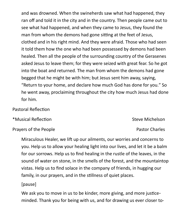and was drowned. When the swineherds saw what had happened, they ran off and told it in the city and in the country. Then people came out to see what had happened, and when they came to Jesus, they found the man from whom the demons had gone sitting at the feet of Jesus, clothed and in his right mind. And they were afraid. Those who had seen it told them how the one who had been possessed by demons had been healed. Then all the people of the surrounding country of the Gerasenes asked Jesus to leave them; for they were seized with great fear. So he got into the boat and returned. The man from whom the demons had gone begged that he might be with him; but Jesus sent him away, saying, "Return to your home, and declare how much God has done for you." So he went away, proclaiming throughout the city how much Jesus had done for him.

### Pastoral Reflection

\*Musical Reflection **Steve Michelson** Steve Michelson

### Prayers of the People **Pastor Charles** Prayers of the People

Miraculous Healer, we lift up our ailments, our worries and concerns to you. Help us to allow your healing light into our lives, and let it be a balm for our sorrows. Help us to find healing in the rustle of the leaves, in the sound of water on stone, in the smells of the forest, and the mountaintop vistas. Help us to find solace in the company of friends, in hugging our family, in our prayers, and in the stillness of quiet places.

### [pause]

We ask you to move in us to be kinder, more giving, and more justiceminded. Thank you for being with us, and for drawing us ever closer to-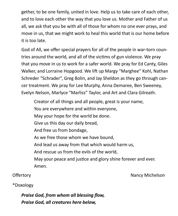gether, to be one family, united in love. Help us to take care of each other, and to love each other the way that you love us. Mother and Father of us all, we ask that you be with all of those for whom no one ever prays, and move in us, that we might work to heal this world that is our home before it is too late.

God of All, we offer special prayers for all of the people in war-torn countries around the world, and all of the victims of gun violence. We pray that you move in us to work for a safer world. We pray for Ed Canty, Giles Walker, and Lorraine Hopgood. We lift up Margy "Marghee" Kohl, Nathan Schreder "Schrader", Greg Bolin, and Jay Sheldon as they go through cancer treatment. We pray for Lee Murphy, Anna Demaree, Ben Sweeney, Evelyn Nelson, Marlyce "Marliss" Taylor, and Art and Clara Gilreath.

Creator of all things and all people, great is your name,

You are everywhere and within everyone,

May your hope for the world be done.

Give us this day our daily bread,

And free us from bondage,

As we free those whom we have bound,

And lead us away from that which would harm us,

And rescue us from the evils of the world,

May your peace and justice and glory shine forever and ever. Amen.

Offertory Nancy Michelson

\*Doxology

*Praise God, from whom all blessing flow, Praise God, all creatures here below,*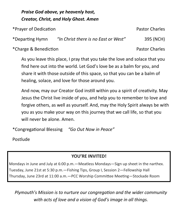### *Praise God above, ye heavenly host, Creator, Christ, and Holy Ghost. Amen*

| *Prayer of Dedication |                                      | <b>Pastor Charles</b> |
|-----------------------|--------------------------------------|-----------------------|
| *Departing Hymn       | "In Christ there is no East or West" | 395 (NCH)             |
| *Charge & Benediction |                                      | <b>Pastor Charles</b> |

As you leave this place, I pray that you take the love and solace that you find here out into the world. Let God's love be as a balm for you, and share it with those outside of this space, so that you can be a balm of healing, solace, and love for those around you.

And now, may our Creator God instill within you a spirit of creativity. May Jesus the Christ live inside of you, and help you to remember to love and forgive others, as well as yourself. And, may the Holy Spirit always be with you as you make your way on this journey that we call life, so that you will never be alone. Amen.

\*Congregational Blessing *"Go Out Now in Peace"*

Postlude

### **YOU'RE INVITED!**

Mondays in June and July at 6:00 p.m.—Meatless Mondays—Sign up sheet in the narthex. Tuesday, June 21st at 5:30 p.m.—Fishing Tips, Group I, Session 2—Fellowship Hall Thursday, June 23rd at 11:00 a.m.—PCC Worship Committee Meeting—Stockade Room

*Plymouth's Mission is to nurture our congregation and the wider community with acts of love and a vision of God's image in all things.*